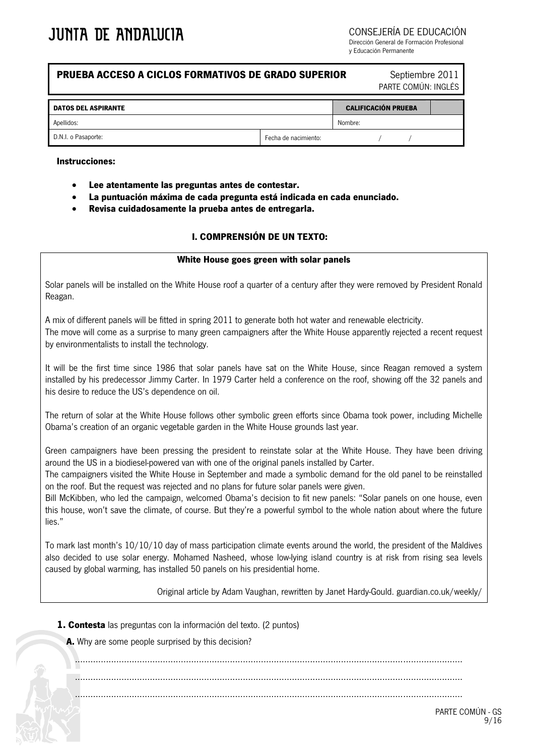CONSEJERÍA DE EDUCACIÓN

Dirección General de Formación Profesional y Educación Permanente

## **PRUEBA ACCESO A CICLOS FORMATIVOS DE GRADO SUPERIOR Septiembre 2011**

PARTE COMÚN: INGLÉS

| <b>DATOS DEL ASPIRANTE</b> |                      | <b>CALIFICACIÓN PRUEBA</b> |  |  |  |
|----------------------------|----------------------|----------------------------|--|--|--|
| Apellidos:                 |                      | Nombre:                    |  |  |  |
| D.N.I. o Pasaporte:        | Fecha de nacimiento: |                            |  |  |  |

### **Instrucciones:**

- **Lee atentamente las preguntas antes de contestar.**
- **La puntuación máxima de cada pregunta está indicada en cada enunciado.**
- **Revisa cuidadosamente la prueba antes de entregarla.**

### **I. COMPRENSIÓN DE UN TEXTO:**

#### **White House goes green with solar panels**

Solar panels will be installed on the White House roof a quarter of a century after they were removed by President Ronald Reagan.

A mix of different panels will be fitted in spring 2011 to generate both hot water and renewable electricity. The move will come as a surprise to many green campaigners after the White House apparently rejected a recent request by environmentalists to install the technology.

It will be the first time since 1986 that solar panels have sat on the White House, since Reagan removed a system installed by his predecessor Jimmy Carter. In 1979 Carter held a conference on the roof, showing off the 32 panels and his desire to reduce the US's dependence on oil.

The return of solar at the White House follows other symbolic green efforts since Obama took power, including Michelle Obama's creation of an organic vegetable garden in the White House grounds last year.

Green campaigners have been pressing the president to reinstate solar at the White House. They have been driving around the US in a biodiesel-powered van with one of the original panels installed by Carter.

The campaigners visited the White House in September and made a symbolic demand for the old panel to be reinstalled on the roof. But the request was rejected and no plans for future solar panels were given.

Bill McKibben, who led the campaign, welcomed Obama's decision to fit new panels: "Solar panels on one house, even this house, won't save the climate, of course. But they're a powerful symbol to the whole nation about where the future lies."

To mark last month's 10/10/10 day of mass participation climate events around the world, the president of the Maldives also decided to use solar energy. Mohamed Nasheed, whose low-lying island country is at risk from rising sea levels caused by global warming, has installed 50 panels on his presidential home.

Original article by Adam Vaughan, rewritten by Janet Hardy-Gould. guardian.co.uk/weekly/

**1. Contesta** las preguntas con la información del texto. (2 puntos)

**A.** Why are some people surprised by this decision?

...................................................................................................................................................... ...................................................................................................................................................... ......................................................................................................................................................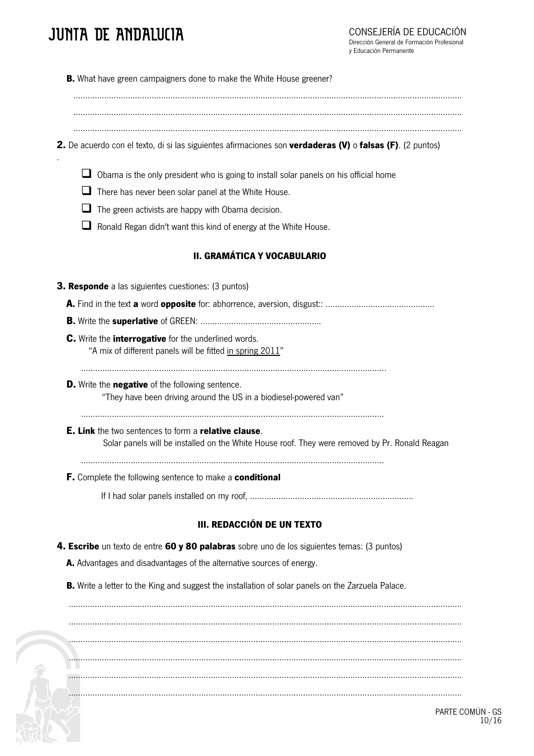# **JUNTA DE ANDALUCIA**

.

**B.** What have green campaigners done to make the White House greener?

....................................................................................................................................................................

....................................................................................................................................................................

....................................................................................................................................................................

- **2.** De acuerdo con el texto, di si las siguientes afirmaciones son **verdaderas (V)** o **falsas (F)**. (2 puntos)
	- $\square$  Obama is the only president who is going to install solar panels on his official home
	- $\Box$  There has never been solar panel at the White House.
	- $\Box$  The green activists are happy with Obama decision.
	- Ronald Regan didn't want this kind of energy at the White House.

## **II. GRAMÁTICA Y VOCABULARIO**

| <b>3. Responde</b> a las siguientes cuestiones: (3 puntos)                                                                                                            |
|-----------------------------------------------------------------------------------------------------------------------------------------------------------------------|
|                                                                                                                                                                       |
|                                                                                                                                                                       |
| C. Write the <i>interrogative</i> for the underlined words.<br>"A mix of different panels will be fitted in spring 2011"                                              |
| D. Write the negative of the following sentence.<br>"They have been driving around the US in a biodiesel-powered van"                                                 |
| <b>E. Link</b> the two sentences to form a <b>relative clause</b> .<br>Solar panels will be installed on the White House roof. They were removed by Pr. Ronald Reagan |
| <b>F.</b> Complete the following sentence to make a <b>conditional</b>                                                                                                |
|                                                                                                                                                                       |
| <b>III. REDACCION DE UN TEXTO</b>                                                                                                                                     |

- **4. Escribe** un texto de entre **60 y 80 palabras** sobre uno de los siguientes temas: (3 puntos)
	- **A.** Advantages and disadvantages of the alternative sources of energy.
	- **B.** Write a letter to the King and suggest the installation of solar panels on the Zarzuela Palace.

...................................................................................................................................................................... ...................................................................................................................................................................... ...................................................................................................................................................................... ...................................................................................................................................................................... ...................................................................................................................................................................... ......................................................................................................................................................................